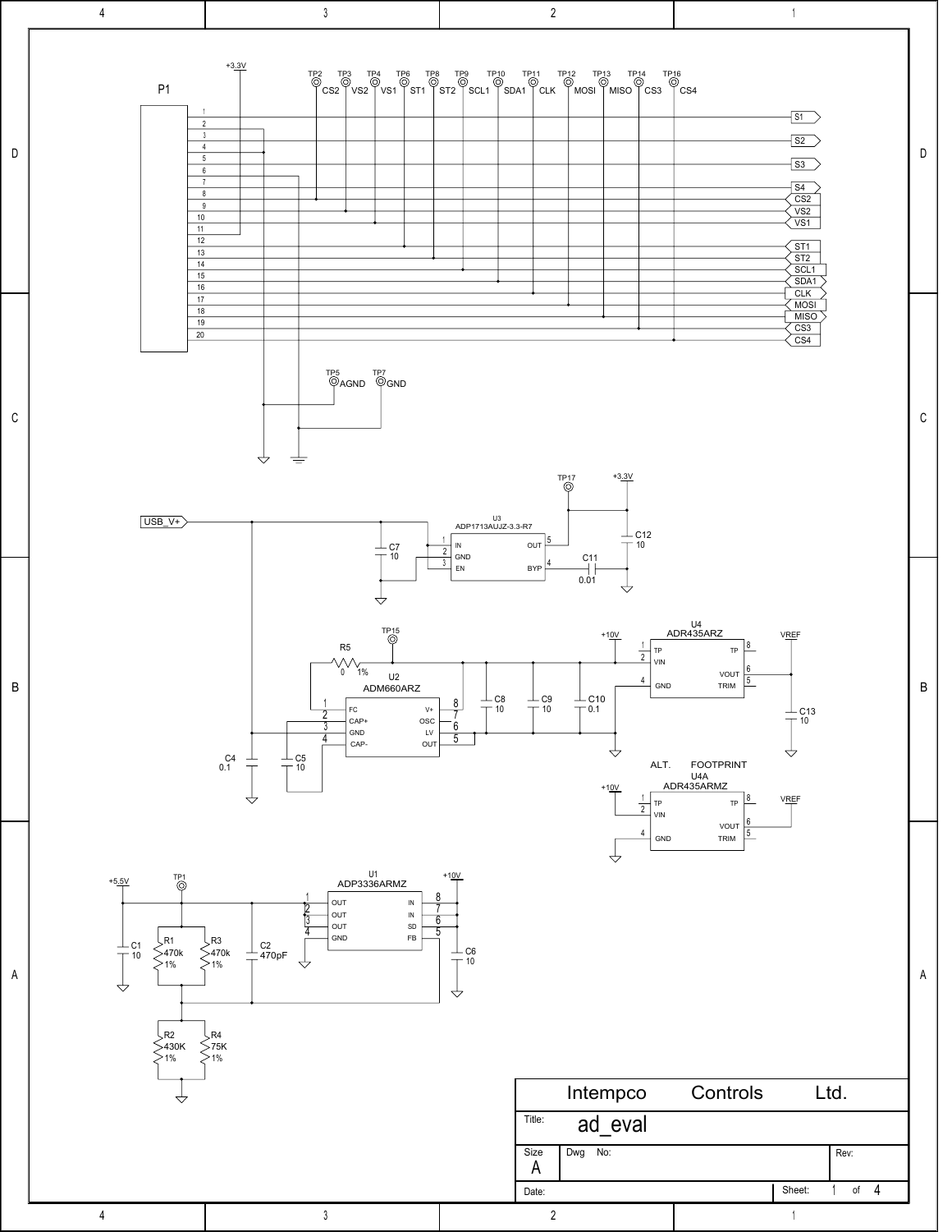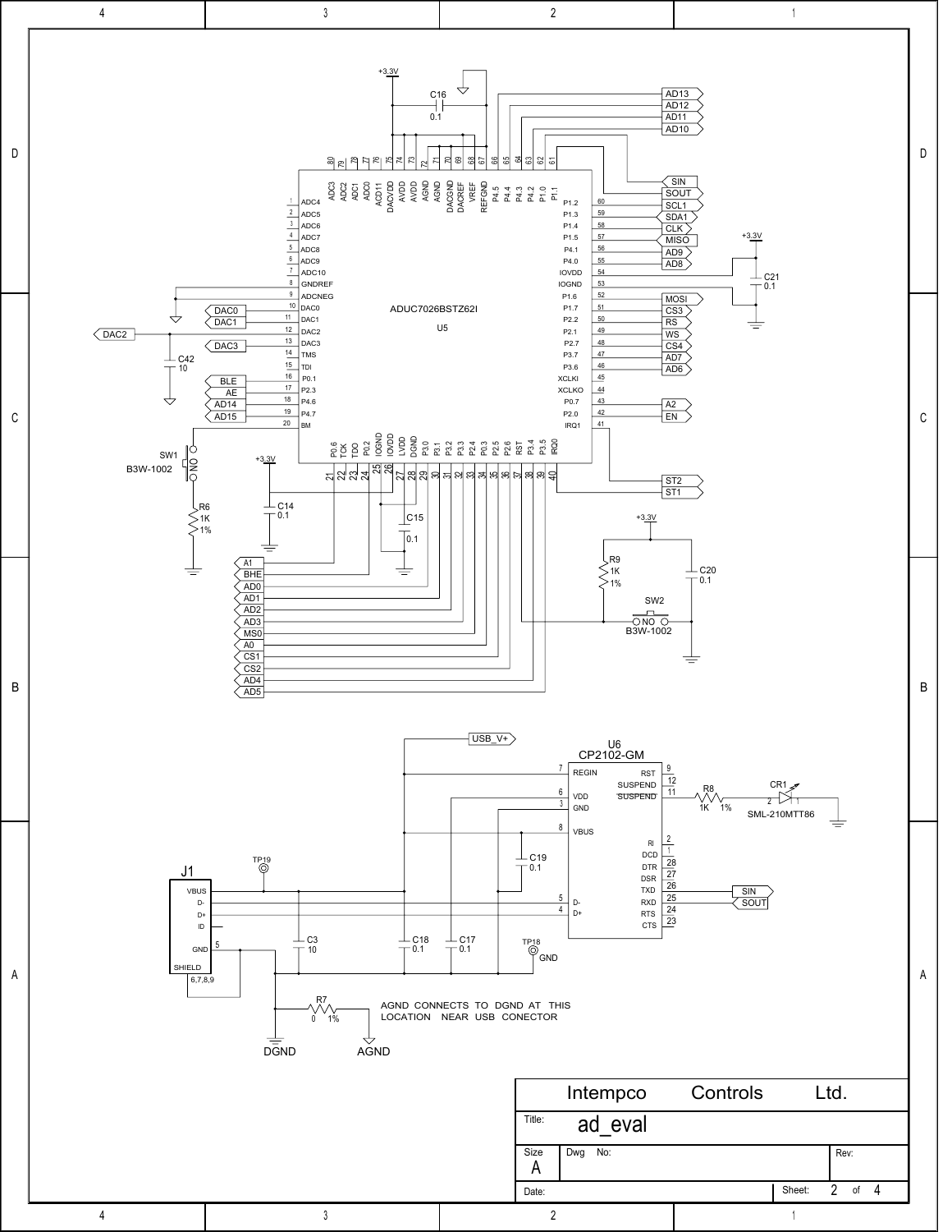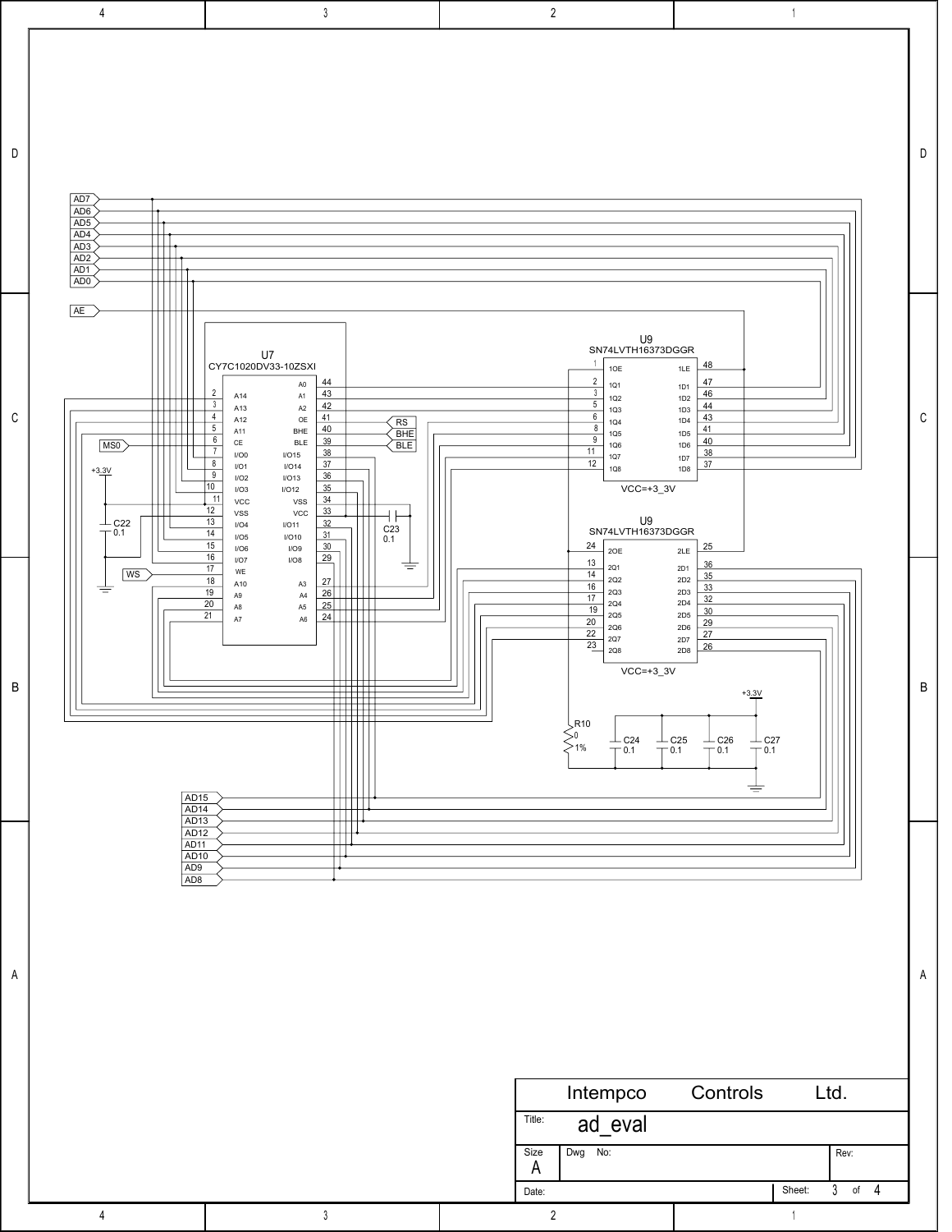